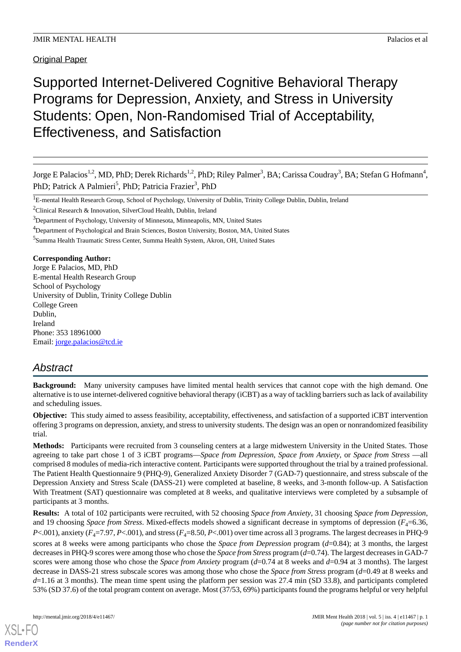**Original Paper** 

# Supported Internet-Delivered Cognitive Behavioral Therapy Programs for Depression, Anxiety, and Stress in University Students: Open, Non-Randomised Trial of Acceptability, Effectiveness, and Satisfaction

Jorge E Palacios<sup>1,2</sup>, MD, PhD; Derek Richards<sup>1,2</sup>, PhD; Riley Palmer<sup>3</sup>, BA; Carissa Coudray<sup>3</sup>, BA; Stefan G Hofmann<sup>4</sup>, PhD; Patrick A Palmieri<sup>5</sup>, PhD; Patricia Frazier<sup>3</sup>, PhD

**Corresponding Author:**

Jorge E Palacios, MD, PhD E-mental Health Research Group School of Psychology University of Dublin, Trinity College Dublin College Green Dublin, Ireland Phone: 353 18961000 Email: [jorge.palacios@tcd.ie](mailto:jorge.palacios@tcd.ie)

## *Abstract*

**Background:** Many university campuses have limited mental health services that cannot cope with the high demand. One alternative is to use internet-delivered cognitive behavioral therapy (iCBT) as a way of tackling barriers such as lack of availability and scheduling issues.

**Objective:** This study aimed to assess feasibility, acceptability, effectiveness, and satisfaction of a supported iCBT intervention offering 3 programs on depression, anxiety, and stress to university students. The design was an open or nonrandomized feasibility trial.

**Methods:** Participants were recruited from 3 counseling centers at a large midwestern University in the United States. Those agreeing to take part chose 1 of 3 iCBT programs—*Space from Depression*, *Space from Anxiety*, or *Space from Stress* —all comprised 8 modules of media-rich interactive content. Participants were supported throughout the trial by a trained professional. The Patient Health Questionnaire 9 (PHQ-9), Generalized Anxiety Disorder 7 (GAD-7) questionnaire, and stress subscale of the Depression Anxiety and Stress Scale (DASS-21) were completed at baseline, 8 weeks, and 3-month follow-up. A Satisfaction With Treatment (SAT) questionnaire was completed at 8 weeks, and qualitative interviews were completed by a subsample of participants at 3 months.

**Results:** A total of 102 participants were recruited, with 52 choosing *Space from Anxiety*, 31 choosing *Space from Depression*, and 19 choosing *Space from Stress*. Mixed-effects models showed a significant decrease in symptoms of depression ( $F_a$ =6.36,  $P<.001$ ), anxiety ( $F_4$ =7.97,  $P<.001$ ), and stress ( $F_4$ =8.50,  $P<.001$ ) over time across all 3 programs. The largest decreases in PHQ-9 scores at 8 weeks were among participants who chose the *Space from Depression* program (*d*=0.84); at 3 months, the largest decreases in PHQ-9 scores were among those who chose the *Space from Stress* program (*d*=0.74). The largest decreases in GAD-7 scores were among those who chose the *Space from Anxiety* program (*d*=0.74 at 8 weeks and *d*=0.94 at 3 months). The largest decrease in DASS-21 stress subscale scores was among those who chose the *Space from Stress* program (*d*=0.49 at 8 weeks and *d*=1.16 at 3 months). The mean time spent using the platform per session was 27.4 min (SD 33.8), and participants completed 53% (SD 37.6) of the total program content on average. Most (37/53, 69%) participants found the programs helpful or very helpful

<sup>&</sup>lt;sup>1</sup>E-mental Health Research Group, School of Psychology, University of Dublin, Trinity College Dublin, Dublin, Ireland

<sup>&</sup>lt;sup>2</sup>Clinical Research & Innovation, SilverCloud Health, Dublin, Ireland

<sup>&</sup>lt;sup>3</sup>Department of Psychology, University of Minnesota, Minneapolis, MN, United States

<sup>&</sup>lt;sup>4</sup>Department of Psychological and Brain Sciences, Boston University, Boston, MA, United States

<sup>5</sup> Summa Health Traumatic Stress Center, Summa Health System, Akron, OH, United States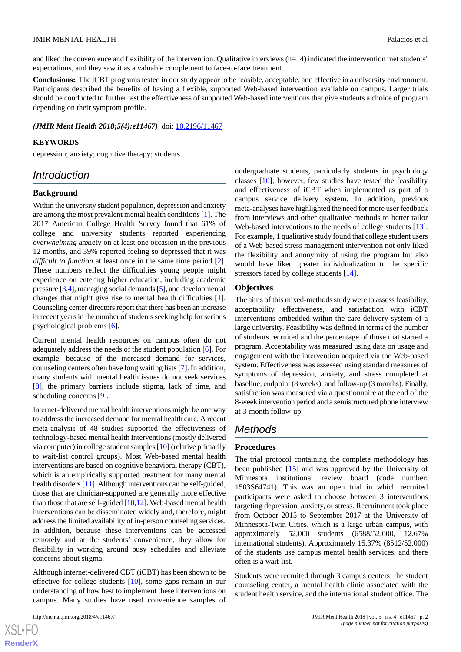and liked the convenience and flexibility of the intervention. Qualitative interviews (n=14) indicated the intervention met students' expectations, and they saw it as a valuable complement to face-to-face treatment.

**Conclusions:** The iCBT programs tested in our study appear to be feasible, acceptable, and effective in a university environment. Participants described the benefits of having a flexible, supported Web-based intervention available on campus. Larger trials should be conducted to further test the effectiveness of supported Web-based interventions that give students a choice of program depending on their symptom profile.

*(JMIR Ment Health 2018;5(4):e11467)* doi:  $10.2196/11467$ 

## **KEYWORDS**

depression; anxiety; cognitive therapy; students

## *Introduction*

#### **Background**

Within the university student population, depression and anxiety are among the most prevalent mental health conditions [\[1](#page-13-0)]. The 2017 American College Health Survey found that 61% of college and university students reported experiencing *overwhelming* anxiety on at least one occasion in the previous 12 months, and 39% reported feeling so depressed that it was *difficult to function* at least once in the same time period [[2\]](#page-13-1). These numbers reflect the difficulties young people might experience on entering higher education, including academic pressure [\[3](#page-13-2),[4\]](#page-13-3), managing social demands [[5](#page-13-4)], and developmental changes that might give rise to mental health difficulties [[1\]](#page-13-0). Counseling center directors report that there has been an increase in recent years in the number of students seeking help for serious psychological problems [[6\]](#page-13-5).

Current mental health resources on campus often do not adequately address the needs of the student population [[6\]](#page-13-5). For example, because of the increased demand for services, counseling centers often have long waiting lists [[7](#page-13-6)]. In addition, many students with mental health issues do not seek services [[8\]](#page-13-7); the primary barriers include stigma, lack of time, and scheduling concerns [[9\]](#page-13-8).

Internet-delivered mental health interventions might be one way to address the increased demand for mental health care. A recent meta-analysis of 48 studies supported the effectiveness of technology-based mental health interventions (mostly delivered via computer) in college student samples [[10\]](#page-13-9) (relative primarily to wait-list control groups). Most Web-based mental health interventions are based on cognitive behavioral therapy (CBT), which is an empirically supported treatment for many mental health disorders [\[11](#page-13-10)]. Although interventions can be self-guided, those that are clinician-supported are generally more effective than those that are self-guided [[10,](#page-13-9)[12\]](#page-13-11). Web-based mental health interventions can be disseminated widely and, therefore, might address the limited availability of in-person counseling services. In addition, because these interventions can be accessed remotely and at the students' convenience, they allow for flexibility in working around busy schedules and alleviate concerns about stigma.

Although internet-delivered CBT (iCBT) has been shown to be effective for college students [\[10](#page-13-9)], some gaps remain in our understanding of how best to implement these interventions on campus. Many studies have used convenience samples of

 $XS$ -FO **[RenderX](http://www.renderx.com/)** undergraduate students, particularly students in psychology classes [\[10](#page-13-9)]; however, few studies have tested the feasibility and effectiveness of iCBT when implemented as part of a campus service delivery system. In addition, previous meta-analyses have highlighted the need for more user feedback from interviews and other qualitative methods to better tailor Web-based interventions to the needs of college students [[13\]](#page-13-12). For example, 1 qualitative study found that college student users of a Web-based stress management intervention not only liked the flexibility and anonymity of using the program but also would have liked greater individualization to the specific stressors faced by college students [[14\]](#page-13-13).

## **Objectives**

The aims of this mixed-methods study were to assess feasibility, acceptability, effectiveness, and satisfaction with iCBT interventions embedded within the care delivery system of a large university. Feasibility was defined in terms of the number of students recruited and the percentage of those that started a program. Acceptability was measured using data on usage and engagement with the intervention acquired via the Web-based system. Effectiveness was assessed using standard measures of symptoms of depression, anxiety, and stress completed at baseline, endpoint (8 weeks), and follow-up (3 months). Finally, satisfaction was measured via a questionnaire at the end of the 8-week intervention period and a semistructured phone interview at 3-month follow-up.

## *Methods*

## **Procedures**

The trial protocol containing the complete methodology has been published [[15\]](#page-13-14) and was approved by the University of Minnesota institutional review board (code number: 1503S64741). This was an open trial in which recruited participants were asked to choose between 3 interventions targeting depression, anxiety, or stress. Recruitment took place from October 2015 to September 2017 at the University of Minnesota-Twin Cities, which is a large urban campus, with approximately 52,000 students (6588/52,000, 12.67% international students). Approximately 15.37% (8512/52,000) of the students use campus mental health services, and there often is a wait-list.

Students were recruited through 3 campus centers: the student counseling center, a mental health clinic associated with the student health service, and the international student office. The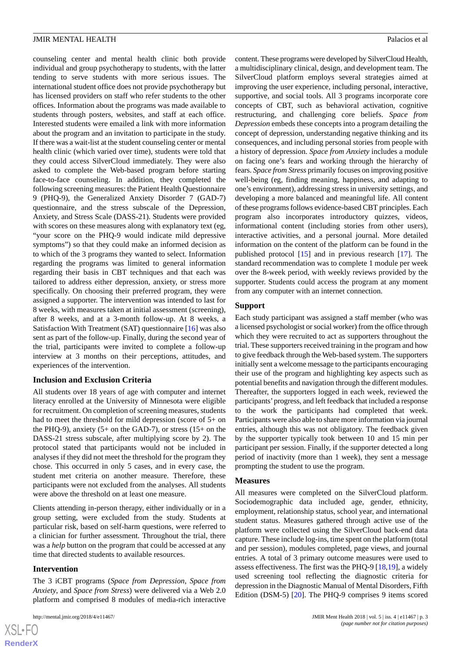counseling center and mental health clinic both provide individual and group psychotherapy to students, with the latter tending to serve students with more serious issues. The international student office does not provide psychotherapy but has licensed providers on staff who refer students to the other offices. Information about the programs was made available to students through posters, websites, and staff at each office. Interested students were emailed a link with more information about the program and an invitation to participate in the study. If there was a wait-list at the student counseling center or mental health clinic (which varied over time), students were told that they could access SilverCloud immediately. They were also asked to complete the Web-based program before starting face-to-face counseling. In addition, they completed the following screening measures: the Patient Health Questionnaire 9 (PHQ-9), the Generalized Anxiety Disorder 7 (GAD-7) questionnaire, and the stress subscale of the Depression, Anxiety, and Stress Scale (DASS-21). Students were provided with scores on these measures along with explanatory text (eg, "your score on the PHQ-9 would indicate mild depressive symptoms") so that they could make an informed decision as to which of the 3 programs they wanted to select. Information regarding the programs was limited to general information regarding their basis in CBT techniques and that each was tailored to address either depression, anxiety, or stress more specifically. On choosing their preferred program, they were assigned a supporter. The intervention was intended to last for 8 weeks, with measures taken at initial assessment (screening), after 8 weeks, and at a 3-month follow-up. At 8 weeks, a Satisfaction With Treatment (SAT) questionnaire [\[16](#page-13-15)] was also sent as part of the follow-up. Finally, during the second year of the trial, participants were invited to complete a follow-up interview at 3 months on their perceptions, attitudes, and experiences of the intervention.

#### **Inclusion and Exclusion Criteria**

All students over 18 years of age with computer and internet literacy enrolled at the University of Minnesota were eligible for recruitment. On completion of screening measures, students had to meet the threshold for mild depression (score of 5+ on the PHQ-9), anxiety (5+ on the GAD-7), or stress (15+ on the DASS-21 stress subscale, after multiplying score by 2). The protocol stated that participants would not be included in analyses if they did not meet the threshold for the program they chose. This occurred in only 5 cases, and in every case, the student met criteria on another measure. Therefore, these participants were not excluded from the analyses. All students were above the threshold on at least one measure.

Clients attending in-person therapy, either individually or in a group setting, were excluded from the study. Students at particular risk, based on self-harm questions, were referred to a clinician for further assessment. Throughout the trial, there was a *help* button on the program that could be accessed at any time that directed students to available resources.

## **Intervention**

 $XS$ -FO **[RenderX](http://www.renderx.com/)**

The 3 iCBT programs (*Space from Depression*, *Space from Anxiety*, and *Space from Stress*) were delivered via a Web 2.0 platform and comprised 8 modules of media-rich interactive

content. These programs were developed by SilverCloud Health, a multidisciplinary clinical, design, and development team. The SilverCloud platform employs several strategies aimed at improving the user experience, including personal, interactive, supportive, and social tools. All 3 programs incorporate core concepts of CBT, such as behavioral activation, cognitive restructuring, and challenging core beliefs. *Space from Depression* embeds these concepts into a program detailing the concept of depression, understanding negative thinking and its consequences, and including personal stories from people with a history of depression. *Space from Anxiety* includes a module on facing one's fears and working through the hierarchy of fears. *Space from Stress* primarily focuses on improving positive well-being (eg, finding meaning, happiness, and adapting to one's environment), addressing stress in university settings, and developing a more balanced and meaningful life. All content of these programs follows evidence-based CBT principles. Each program also incorporates introductory quizzes, videos, informational content (including stories from other users), interactive activities, and a personal journal. More detailed information on the content of the platform can be found in the published protocol [\[15](#page-13-14)] and in previous research [[17\]](#page-13-16). The standard recommendation was to complete 1 module per week over the 8-week period, with weekly reviews provided by the supporter. Students could access the program at any moment from any computer with an internet connection.

## **Support**

Each study participant was assigned a staff member (who was a licensed psychologist or social worker) from the office through which they were recruited to act as supporters throughout the trial. These supporters received training in the program and how to give feedback through the Web-based system. The supporters initially sent a welcome message to the participants encouraging their use of the program and highlighting key aspects such as potential benefits and navigation through the different modules. Thereafter, the supporters logged in each week, reviewed the participants'progress, and left feedback that included a response to the work the participants had completed that week. Participants were also able to share more information via journal entries, although this was not obligatory. The feedback given by the supporter typically took between 10 and 15 min per participant per session. Finally, if the supporter detected a long period of inactivity (more than 1 week), they sent a message prompting the student to use the program.

## **Measures**

All measures were completed on the SilverCloud platform. Sociodemographic data included age, gender, ethnicity, employment, relationship status, school year, and international student status. Measures gathered through active use of the platform were collected using the SilverCloud back-end data capture. These include log-ins, time spent on the platform (total and per session), modules completed, page views, and journal entries. A total of 3 primary outcome measures were used to assess effectiveness. The first was the PHQ-9 [\[18](#page-14-0),[19\]](#page-14-1), a widely used screening tool reflecting the diagnostic criteria for depression in the Diagnostic Manual of Mental Disorders, Fifth Edition (DSM-5) [[20\]](#page-14-2). The PHQ-9 comprises 9 items scored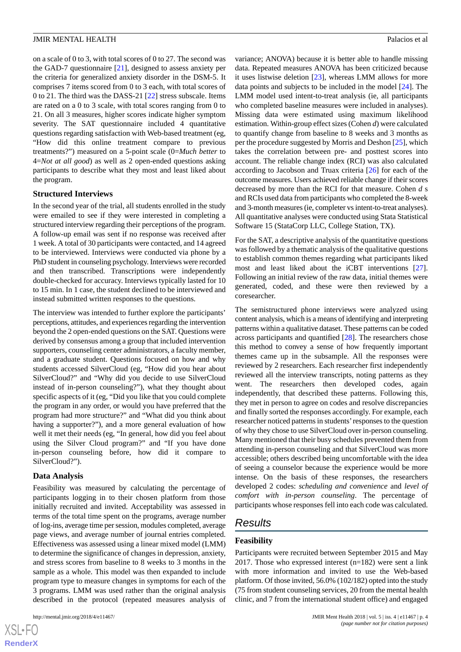on a scale of 0 to 3, with total scores of 0 to 27. The second was the GAD-7 questionnaire [[21\]](#page-14-3), designed to assess anxiety per the criteria for generalized anxiety disorder in the DSM-5. It comprises 7 items scored from 0 to 3 each, with total scores of 0 to 21. The third was the DASS-21 [\[22](#page-14-4)] stress subscale. Items are rated on a 0 to 3 scale, with total scores ranging from 0 to 21. On all 3 measures, higher scores indicate higher symptom severity. The SAT questionnaire included 4 quantitative questions regarding satisfaction with Web-based treatment (eg, "How did this online treatment compare to previous treatments?") measured on a 5-point scale (0=*Much better* to 4=*Not at all good*) as well as 2 open-ended questions asking participants to describe what they most and least liked about the program.

## **Structured Interviews**

In the second year of the trial, all students enrolled in the study were emailed to see if they were interested in completing a structured interview regarding their perceptions of the program. A follow-up email was sent if no response was received after 1 week. A total of 30 participants were contacted, and 14 agreed to be interviewed. Interviews were conducted via phone by a PhD student in counseling psychology. Interviews were recorded and then transcribed. Transcriptions were independently double-checked for accuracy. Interviews typically lasted for 10 to 15 min. In 1 case, the student declined to be interviewed and instead submitted written responses to the questions.

The interview was intended to further explore the participants' perceptions, attitudes, and experiences regarding the intervention beyond the 2 open-ended questions on the SAT. Questions were derived by consensus among a group that included intervention supporters, counseling center administrators, a faculty member, and a graduate student. Questions focused on how and why students accessed SilverCloud (eg, "How did you hear about SilverCloud?" and "Why did you decide to use SilverCloud instead of in-person counseling?"), what they thought about specific aspects of it (eg, "Did you like that you could complete the program in any order, or would you have preferred that the program had more structure?" and "What did you think about having a supporter?"), and a more general evaluation of how well it met their needs (eg, "In general, how did you feel about using the Silver Cloud program?" and "If you have done in-person counseling before, how did it compare to SilverCloud?").

#### **Data Analysis**

Feasibility was measured by calculating the percentage of participants logging in to their chosen platform from those initially recruited and invited. Acceptability was assessed in terms of the total time spent on the programs, average number of log-ins, average time per session, modules completed, average page views, and average number of journal entries completed. Effectiveness was assessed using a linear mixed model (LMM) to determine the significance of changes in depression, anxiety, and stress scores from baseline to 8 weeks to 3 months in the sample as a whole. This model was then expanded to include program type to measure changes in symptoms for each of the 3 programs. LMM was used rather than the original analysis described in the protocol (repeated measures analysis of variance; ANOVA) because it is better able to handle missing data. Repeated measures ANOVA has been criticized because it uses listwise deletion [[23\]](#page-14-5), whereas LMM allows for more data points and subjects to be included in the model [[24\]](#page-14-6). The LMM model used intent-to-treat analysis (ie, all participants who completed baseline measures were included in analyses). Missing data were estimated using maximum likelihood estimation. Within-group effect sizes (Cohen *d*) were calculated to quantify change from baseline to 8 weeks and 3 months as per the procedure suggested by Morris and Deshon [\[25](#page-14-7)], which takes the correlation between pre- and posttest scores into account. The reliable change index (RCI) was also calculated according to Jacobson and Truax criteria [\[26](#page-14-8)] for each of the outcome measures. Users achieved reliable change if their scores decreased by more than the RCI for that measure. Cohen *d* s and RCIs used data from participants who completed the 8-week and 3-month measures (ie, completer vs intent-to-treat analyses). All quantitative analyses were conducted using Stata Statistical Software 15 (StataCorp LLC, College Station, TX).

For the SAT, a descriptive analysis of the quantitative questions was followed by a thematic analysis of the qualitative questions to establish common themes regarding what participants liked most and least liked about the iCBT interventions [[27\]](#page-14-9). Following an initial review of the raw data, initial themes were generated, coded, and these were then reviewed by a coresearcher.

The semistructured phone interviews were analyzed using content analysis, which is a means of identifying and interpreting patterns within a qualitative dataset. These patterns can be coded across participants and quantified [[28\]](#page-14-10). The researchers chose this method to convey a sense of how frequently important themes came up in the subsample. All the responses were reviewed by 2 researchers. Each researcher first independently reviewed all the interview transcripts, noting patterns as they went. The researchers then developed codes, again independently, that described these patterns. Following this, they met in person to agree on codes and resolve discrepancies and finally sorted the responses accordingly. For example, each researcher noticed patterns in students'responses to the question of why they chose to use SilverCloud over in-person counseling. Many mentioned that their busy schedules prevented them from attending in-person counseling and that SilverCloud was more accessible; others described being uncomfortable with the idea of seeing a counselor because the experience would be more intense. On the basis of these responses, the researchers developed 2 codes: *scheduling and convenience* and *level of comfort with in-person counseling*. The percentage of participants whose responses fell into each code was calculated.

## *Results*

## **Feasibility**

Participants were recruited between September 2015 and May 2017. Those who expressed interest (n=182) were sent a link with more information and invited to use the Web-based platform. Of those invited, 56.0% (102/182) opted into the study (75 from student counseling services, 20 from the mental health clinic, and 7 from the international student office) and engaged

 $XS$  $\cdot$ FC **[RenderX](http://www.renderx.com/)**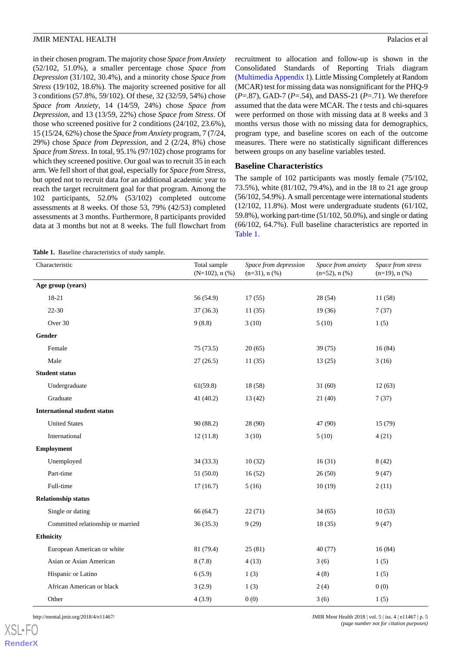in their chosen program. The majority chose *Space from Anxiety* (52/102, 51.0%), a smaller percentage chose *Space from Depression* (31/102, 30.4%), and a minority chose *Space from Stress* (19/102, 18.6%). The majority screened positive for all 3 conditions (57.8%, 59/102). Of these, 32 (32/59, 54%) chose *Space from Anxiety*, 14 (14/59, 24%) chose *Space from Depression*, and 13 (13/59, 22%) chose *Space from Stress*. Of those who screened positive for 2 conditions (24/102, 23.6%), 15 (15/24, 62%) chose the *Space from Anxiety* program, 7 (7/24, 29%) chose *Space from Depression*, and 2 (2/24, 8%) chose *Space from Stress*. In total, 95.1% (97/102) chose programs for which they screened positive. Our goal was to recruit 35 in each arm. We fell short of that goal, especially for *Space from Stress*, but opted not to recruit data for an additional academic year to reach the target recruitment goal for that program. Among the 102 participants, 52.0% (53/102) completed outcome assessments at 8 weeks. Of those 53, 79% (42/53) completed assessments at 3 months. Furthermore, 8 participants provided data at 3 months but not at 8 weeks. The full flowchart from

recruitment to allocation and follow-up is shown in the Consolidated Standards of Reporting Trials diagram ([Multimedia Appendix 1\)](#page-13-17). Little Missing Completely at Random (MCAR) test for missing data was nonsignificant for the PHQ-9 (*P*=.87), GAD-7 (*P*=.54), and DASS-21 (*P*=.71). We therefore assumed that the data were MCAR. The *t* tests and chi-squares were performed on those with missing data at 8 weeks and 3 months versus those with no missing data for demographics, program type, and baseline scores on each of the outcome measures. There were no statistically significant differences between groups on any baseline variables tested.

## **Baseline Characteristics**

The sample of 102 participants was mostly female (75/102, 73.5%), white (81/102, 79.4%), and in the 18 to 21 age group (56/102, 54.9%). A small percentage were international students (12/102, 11.8%). Most were undergraduate students (61/102, 59.8%), working part-time (51/102, 50.0%), and single or dating (66/102, 64.7%). Full baseline characteristics are reported in [Table 1](#page-4-0).

<span id="page-4-0"></span>**Table 1.** Baseline characteristics of study sample.

| Characteristic                      | Total sample<br>$(N=102)$ , n $(\%)$ | Space from depression<br>$(n=31)$ , n $(\%)$ | Space from anxiety<br>$(n=52)$ , n $(\% )$ | Space from stress<br>$(n=19)$ , n $(\% )$ |
|-------------------------------------|--------------------------------------|----------------------------------------------|--------------------------------------------|-------------------------------------------|
| Age group (years)                   |                                      |                                              |                                            |                                           |
| 18-21                               | 56 (54.9)                            | 17(55)                                       | 28 (54)                                    | 11 (58)                                   |
| $22 - 30$                           | 37(36.3)                             | 11(35)                                       | 19(36)                                     | 7(37)                                     |
| Over 30                             | 9(8.8)                               | 3(10)                                        | 5(10)                                      | 1(5)                                      |
| Gender                              |                                      |                                              |                                            |                                           |
| Female                              | 75(73.5)                             | 20(65)                                       | 39(75)                                     | 16(84)                                    |
| Male                                | 27(26.5)                             | 11(35)                                       | 13(25)                                     | 3(16)                                     |
| <b>Student status</b>               |                                      |                                              |                                            |                                           |
| Undergraduate                       | 61(59.8)                             | 18(58)                                       | 31(60)                                     | 12(63)                                    |
| Graduate                            | 41 (40.2)                            | 13(42)                                       | 21(40)                                     | 7(37)                                     |
| <b>International student status</b> |                                      |                                              |                                            |                                           |
| <b>United States</b>                | 90 (88.2)                            | 28 (90)                                      | 47 (90)                                    | 15(79)                                    |
| International                       | 12(11.8)                             | 3(10)                                        | 5(10)                                      | 4(21)                                     |
| <b>Employment</b>                   |                                      |                                              |                                            |                                           |
| Unemployed                          | 34(33.3)                             | 10(32)                                       | 16(31)                                     | 8(42)                                     |
| Part-time                           | 51 (50.0)                            | 16(52)                                       | 26(50)                                     | 9(47)                                     |
| Full-time                           | 17(16.7)                             | 5(16)                                        | 10(19)                                     | 2(11)                                     |
| <b>Relationship status</b>          |                                      |                                              |                                            |                                           |
| Single or dating                    | 66 (64.7)                            | 22(71)                                       | 34(65)                                     | 10(53)                                    |
| Committed relationship or married   | 36(35.3)                             | 9(29)                                        | 18(35)                                     | 9(47)                                     |
| Ethnicity                           |                                      |                                              |                                            |                                           |
| European American or white          | 81 (79.4)                            | 25(81)                                       | 40(77)                                     | 16(84)                                    |
| Asian or Asian American             | 8(7.8)                               | 4(13)                                        | 3(6)                                       | 1(5)                                      |
| Hispanic or Latino                  | 6(5.9)                               | 1(3)                                         | 4(8)                                       | 1(5)                                      |
| African American or black           | 3(2.9)                               | 1(3)                                         | 2(4)                                       | 0(0)                                      |
| Other                               | 4(3.9)                               | 0(0)                                         | 3(6)                                       | 1(5)                                      |

[XSL](http://www.w3.org/Style/XSL)•FO **[RenderX](http://www.renderx.com/)**

http://mental.jmir.org/2018/4/e11467/ JMIR Ment Health 2018 | vol. 5 | iss. 4 | e11467 | p. 5 *(page number not for citation purposes)*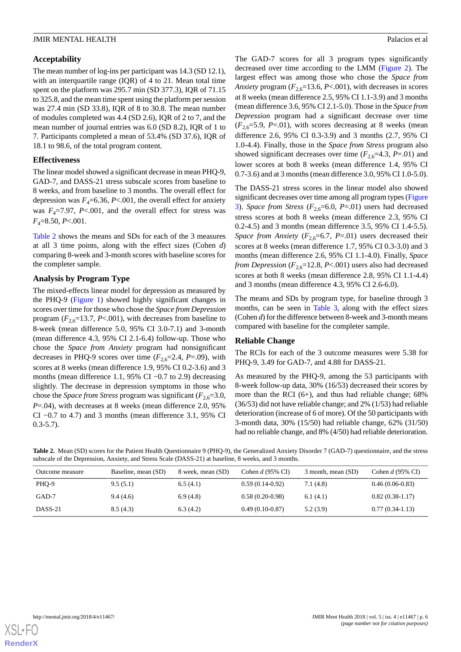## **Acceptability**

The mean number of log-ins per participant was 14.3 (SD 12.1), with an interquartile range (IQR) of 4 to 21. Mean total time spent on the platform was 295.7 min (SD 377.3), IQR of 71.15 to 325.8, and the mean time spent using the platform per session was 27.4 min (SD 33.8), IQR of 8 to 30.8. The mean number of modules completed was 4.4 (SD 2.6), IQR of 2 to 7, and the mean number of journal entries was 6.0 (SD 8.2), IQR of 1 to 7. Participants completed a mean of 53.4% (SD 37.6), IQR of 18.1 to 98.6, of the total program content.

## **Effectiveness**

The linear model showed a significant decrease in mean PHQ-9, GAD-7, and DASS-21 stress subscale scores from baseline to 8 weeks, and from baseline to 3 months. The overall effect for depression was  $F_4 = 6.36$ ,  $P < .001$ , the overall effect for anxiety was  $F_4 = 7.97$ ,  $P < .001$ , and the overall effect for stress was *F*4=8.50, *P*<.001.

[Table 2](#page-5-0) shows the means and SDs for each of the 3 measures at all 3 time points, along with the effect sizes (Cohen *d*) comparing 8-week and 3-month scores with baseline scores for the completer sample.

## **Analysis by Program Type**

The mixed-effects linear model for depression as measured by the PHQ-9 ([Figure 1\)](#page-6-0) showed highly significant changes in scores over time for those who chose the *Space from Depression* program  $(F_{2,6}=13.7, P<.001)$ , with decreases from baseline to 8-week (mean difference 5.0, 95% CI 3.0-7.1) and 3-month (mean difference 4.3, 95% CI 2.1-6.4) follow-up. Those who chose the *Space from Anxiety* program had nonsignificant decreases in PHQ-9 scores over time  $(F_{2,6}=2.4, P=0.09)$ , with scores at 8 weeks (mean difference 1.9, 95% CI 0.2-3.6) and 3 months (mean difference 1.1, 95% CI −0.7 to 2.9) decreasing slightly. The decrease in depression symptoms in those who chose the *Space from Stress* program was significant  $(F_{2,6}=3.0,$ *P*=.04), with decreases at 8 weeks (mean difference 2.0, 95% CI  $-0.7$  to 4.7) and 3 months (mean difference 3.1, 95% CI  $0.3 - 5.7$ ).

The GAD-7 scores for all 3 program types significantly decreased over time according to the LMM [\(Figure 2\)](#page-7-0). The largest effect was among those who chose the *Space from Anxiety* program  $(F_{2,6}=13.6, P<.001)$ , with decreases in scores at 8 weeks (mean difference 2.5, 95% CI 1.1-3.9) and 3 months (mean difference 3.6, 95% CI 2.1-5.0). Those in the *Space from Depression* program had a significant decrease over time  $(F_{2,6}=5.9, P=0.01)$ , with scores decreasing at 8 weeks (mean difference 2.6*,* 95% CI 0.3-3.9) and 3 months (2.7, 95% CI 1.0-4.4). Finally, those in the *Space from Stress* program also showed significant decreases over time  $(F_{2,6}=4.3, P=0.01)$  and lower scores at both 8 weeks (mean difference 1.4, 95% CI 0.7-3.6) and at 3 months (mean difference 3.0, 95% CI 1.0-5.0).

The DASS-21 stress scores in the linear model also showed significant decreases over time among all program types [\(Figure](#page-8-0) [3\)](#page-8-0). *Space from Stress* ( $F_{2,6}$ =6.0,  $P$ =.01) users had decreased stress scores at both 8 weeks (mean difference 2.3, 95% CI 0.2-4.5) and 3 months (mean difference 3.5, 95% CI 1.4-5.5). *Space from Anxiety* ( $F_{2,6}$ =6.7, *P*=.01) users decreased their scores at 8 weeks (mean difference 1.7, 95% CI 0.3-3.0) and 3 months (mean difference 2.6, 95% CI 1.1-4.0). Finally, *Space from Depression* ( $F_{2,6}$ =12.8, *P*<.001) users also had decreased scores at both 8 weeks (mean difference 2.8, 95% CI 1.1-4.4) and 3 months (mean difference 4.3, 95% CI 2.6-6.0).

The means and SDs by program type, for baseline through 3 months, can be seen in [Table 3,](#page-8-1) along with the effect sizes (Cohen *d*) for the difference between 8-week and 3-month means compared with baseline for the completer sample.

## **Reliable Change**

The RCIs for each of the 3 outcome measures were 5.38 for PHQ-9, 3.49 for GAD-7, and 4.88 for DASS-21.

As measured by the PHQ-9, among the 53 participants with 8-week follow-up data, 30% (16/53) decreased their scores by more than the RCI (6+), and thus had reliable change; 68% (36/53) did not have reliable change; and 2% (1/53) had reliable deterioration (increase of 6 of more). Of the 50 participants with 3-month data, 30% (15/50) had reliable change, 62% (31/50) had no reliable change, and 8% (4/50) had reliable deterioration.

<span id="page-5-0"></span>**Table 2.** Mean (SD) scores for the Patient Health Questionnaire 9 (PHQ-9), the Generalized Anxiety Disorder 7 (GAD-7) questionnaire, and the stress subscale of the Depression, Anxiety, and Stress Scale (DASS-21) at baseline, 8 weeks, and 3 months.

| Outcome measure | Baseline, mean (SD) | 8 week, mean (SD) | Cohen $d$ (95% CI) | 3 month, mean (SD) | Cohen $d$ (95% CI) |
|-----------------|---------------------|-------------------|--------------------|--------------------|--------------------|
| PHQ-9           | 9.5(5.1)            | 6.5(4.1)          | $0.59(0.14-0.92)$  | 7.1(4.8)           | $0.46(0.06-0.83)$  |
| GAD-7           | 9.4(4.6)            | 6.9(4.8)          | $0.58(0.20-0.98)$  | 6.1(4.1)           | $0.82(0.38-1.17)$  |
| DASS-21         | 8.5(4.3)            | 6.3(4.2)          | $0.49(0.10-0.87)$  | 5.2(3.9)           | $0.77(0.34-1.13)$  |

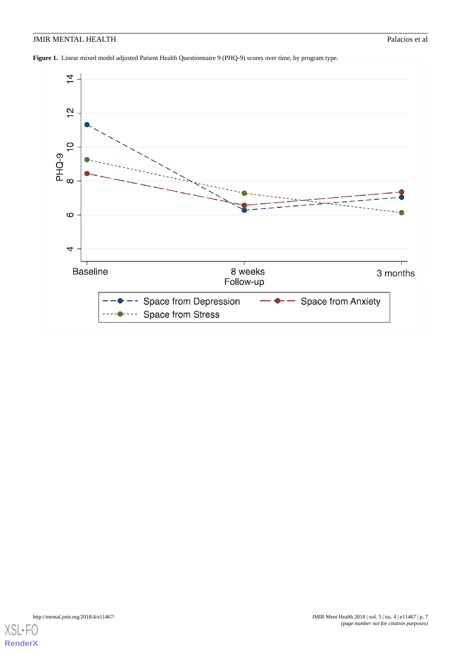<span id="page-6-0"></span>**Figure 1.** Linear mixed model adjusted Patient Health Questionnaire 9 (PHQ-9) scores over time, by program type.

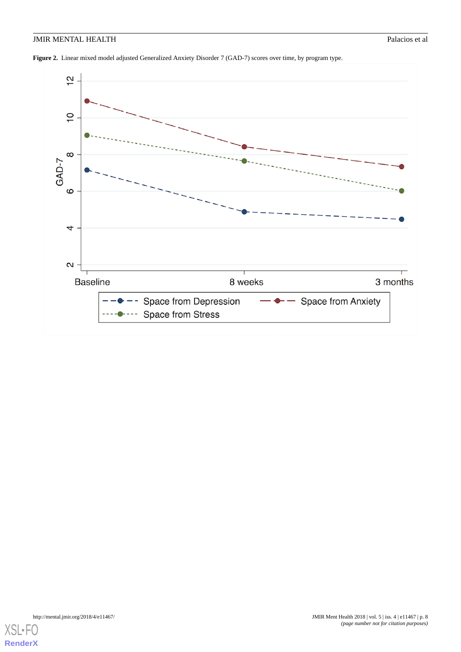<span id="page-7-0"></span>**Figure 2.** Linear mixed model adjusted Generalized Anxiety Disorder 7 (GAD-7) scores over time, by program type.

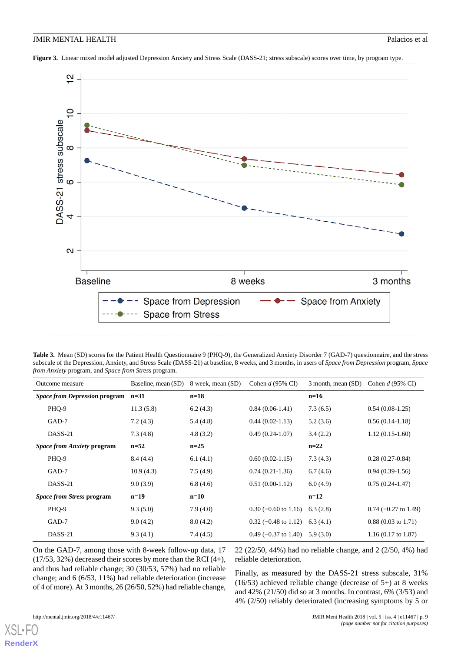<span id="page-8-0"></span>**Figure 3.** Linear mixed model adjusted Depression Anxiety and Stress Scale (DASS-21; stress subscale) scores over time, by program type.



<span id="page-8-1"></span>

| Table 3. Mean (SD) scores for the Patient Health Questionnaire 9 (PHQ-9), the Generalized Anxiety Disorder 7 (GAD-7) questionnaire, and the stress   |
|------------------------------------------------------------------------------------------------------------------------------------------------------|
| subscale of the Depression, Anxiety, and Stress Scale (DASS-21) at baseline, 8 weeks, and 3 months, in users of Space from Depression program, Space |
| <i>from Anxiety program, and Space from Stress program.</i>                                                                                          |

| Outcome measure                      | Baseline, mean (SD) | 8 week, mean (SD) | Cohen $d$ (95% CI)     | 3 month, mean (SD) | Cohen $d$ (95% CI)            |
|--------------------------------------|---------------------|-------------------|------------------------|--------------------|-------------------------------|
| <i>Space from Depression program</i> | $n=31$              | $n=18$            |                        | $n=16$             |                               |
| PHQ-9                                | 11.3(5.8)           | 6.2(4.3)          | $0.84(0.06-1.41)$      | 7.3(6.5)           | $0.54(0.08-1.25)$             |
| GAD-7                                | 7.2(4.3)            | 5.4(4.8)          | $0.44(0.02-1.13)$      | 5.2(3.6)           | $0.56(0.14-1.18)$             |
| DASS-21                              | 7.3(4.8)            | 4.8(3.2)          | $0.49(0.24-1.07)$      | 3.4(2.2)           | $1.12(0.15-1.60)$             |
| <i>Space from Anxiety program</i>    | $n = 52$            | $n=25$            |                        | $n=22$             |                               |
| PHQ-9                                | 8.4(4.4)            | 6.1(4.1)          | $0.60(0.02-1.15)$      | 7.3(4.3)           | $0.28(0.27-0.84)$             |
| GAD-7                                | 10.9(4.3)           | 7.5(4.9)          | $0.74(0.21-1.36)$      | 6.7(4.6)           | $0.94(0.39-1.56)$             |
| DASS-21                              | 9.0(3.9)            | 6.8(4.6)          | $0.51(0.00-1.12)$      | 6.0(4.9)           | $0.75(0.24-1.47)$             |
| <i>Space from Stress program</i>     | $n=19$              | $n=10$            |                        | $n=12$             |                               |
| PHQ-9                                | 9.3(5.0)            | 7.9(4.0)          | $0.30$ (-0.60 to 1.16) | 6.3(2.8)           | $0.74$ (-0.27 to 1.49)        |
| GAD-7                                | 9.0(4.2)            | 8.0(4.2)          | $0.32$ (-0.48 to 1.12) | 6.3(4.1)           | $0.88(0.03 \text{ to } 1.71)$ |
| DASS-21                              | 9.3(4.1)            | 7.4(4.5)          | $0.49$ (-0.37 to 1.40) | 5.9(3.0)           | $1.16(0.17 \text{ to } 1.87)$ |

On the GAD-7, among those with 8-week follow-up data, 17 (17/53, 32%) decreased their scores by more than the RCI (4+), and thus had reliable change; 30 (30/53, 57%) had no reliable change; and 6 (6/53, 11%) had reliable deterioration (increase of 4 of more). At 3 months, 26 (26/50, 52%) had reliable change,

22 (22/50, 44%) had no reliable change, and 2 (2/50, 4%) had reliable deterioration.

Finally, as measured by the DASS-21 stress subscale, 31% (16/53) achieved reliable change (decrease of 5+) at 8 weeks and 42% (21/50) did so at 3 months. In contrast, 6% (3/53) and 4% (2/50) reliably deteriorated (increasing symptoms by 5 or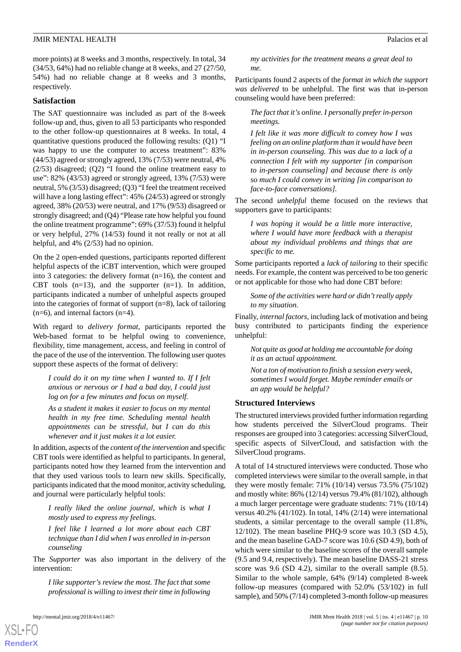more points) at 8 weeks and 3 months, respectively. In total, 34 (34/53, 64%) had no reliable change at 8 weeks, and 27 (27/50, 54%) had no reliable change at 8 weeks and 3 months, respectively.

## **Satisfaction**

The SAT questionnaire was included as part of the 8-week follow-up and, thus, given to all 53 participants who responded to the other follow-up questionnaires at 8 weeks. In total, 4 quantitative questions produced the following results: (Q1) "I was happy to use the computer to access treatment": 83% (44/53) agreed or strongly agreed, 13% (7/53) were neutral, 4% (2/53) disagreed; (Q2) "I found the online treatment easy to use": 82% (43/53) agreed or strongly agreed, 13% (7/53) were neutral, 5% (3/53) disagreed; (Q3) "I feel the treatment received will have a long lasting effect": 45% (24/53) agreed or strongly agreed, 38% (20/53) were neutral, and 17% (9/53) disagreed or strongly disagreed; and (Q4) "Please rate how helpful you found the online treatment programme": 69% (37/53) found it helpful or very helpful, 27% (14/53) found it not really or not at all helpful, and 4% (2/53) had no opinion.

On the 2 open-ended questions, participants reported different helpful aspects of the iCBT intervention, which were grouped into 3 categories: the delivery format (n=16), the content and CBT tools  $(n=13)$ , and the supporter  $(n=1)$ . In addition, participants indicated a number of unhelpful aspects grouped into the categories of format of support (n=8), lack of tailoring (n=6), and internal factors (n=4).

With regard to *delivery format*, participants reported the Web-based format to be helpful owing to convenience, flexibility, time management, access, and feeling in control of the pace of the use of the intervention. The following user quotes support these aspects of the format of delivery:

*I could do it on my time when I wanted to. If I felt anxious or nervous or I had a bad day, I could just log on for a few minutes and focus on myself.*

*As a student it makes it easier to focus on my mental health in my free time. Scheduling mental health appointments can be stressful, but I can do this whenever and it just makes it a lot easier.*

In addition, aspects of the *content of the intervention* and specific CBT tools were identified as helpful to participants. In general, participants noted how they learned from the intervention and that they used various tools to learn new skills. Specifically, participants indicated that the mood monitor, activity scheduling, and journal were particularly helpful tools:

*I really liked the online journal, which is what I mostly used to express my feelings.*

*I feel like I learned a lot more about each CBT technique than I did when I was enrolled in in-person counseling*

The *Supporter* was also important in the delivery of the intervention:

*I like supporter's review the most. The fact that some professional is willing to invest their time in following*

[XSL](http://www.w3.org/Style/XSL)•FO **[RenderX](http://www.renderx.com/)**

*my activities for the treatment means a great deal to me.*

Participants found 2 aspects of the *format in which the support was delivered* to be unhelpful. The first was that in-person counseling would have been preferred:

*The fact that it's online. I personally prefer in-person meetings.*

*I felt like it was more difficult to convey how I was feeling on an online platform than it would have been in in-person counseling. This was due to a lack of a connection I felt with my supporter [in comparison to in-person counseling] and because there is only so much I could convey in writing [in comparison to face-to-face conversations].*

The second *unhelpful* theme focused on the reviews that supporters gave to participants:

*I was hoping it would be a little more interactive, where I would have more feedback with a therapist about my individual problems and things that are specific to me.*

Some participants reported a *lack of tailoring* to their specific needs. For example, the content was perceived to be too generic or not applicable for those who had done CBT before:

*Some of the activities were hard or didn't really apply to my situation.*

Finally, *internal factors*, including lack of motivation and being busy contributed to participants finding the experience unhelpful:

*Not quite as good at holding me accountable for doing it as an actual appointment.*

*Not a ton of motivation to finish a session every week, sometimes I would forget. Maybe reminder emails or an app would be helpful?*

#### **Structured Interviews**

The structured interviews provided further information regarding how students perceived the SilverCloud programs. Their responses are grouped into 3 categories: accessing SilverCloud, specific aspects of SilverCloud, and satisfaction with the SilverCloud programs.

A total of 14 structured interviews were conducted. Those who completed interviews were similar to the overall sample, in that they were mostly female: 71% (10/14) versus 73.5% (75/102) and mostly white: 86% (12/14) versus 79.4% (81/102), although a much larger percentage were graduate students: 71% (10/14) versus 40.2% (41/102). In total, 14% (2/14) were international students, a similar percentage to the overall sample (11.8%, 12/102). The mean baseline PHQ-9 score was 10.3 (SD 4.5), and the mean baseline GAD-7 score was 10.6 (SD 4.9), both of which were similar to the baseline scores of the overall sample (9.5 and 9.4, respectively). The mean baseline DASS-21 stress score was 9.6 (SD 4.2), similar to the overall sample (8.5). Similar to the whole sample, 64% (9/14) completed 8-week follow-up measures (compared with 52.0% (53/102) in full sample), and 50% (7/14) completed 3-month follow-up measures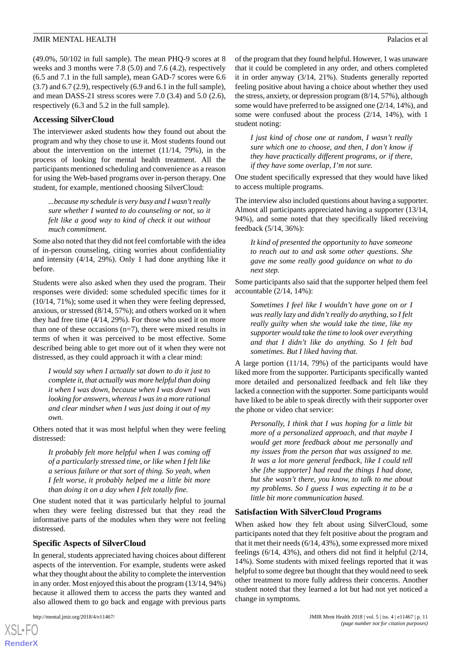(49.0%, 50/102 in full sample). The mean PHQ-9 scores at 8 weeks and 3 months were 7.8 (5.0) and 7.6 (4.2), respectively (6.5 and 7.1 in the full sample), mean GAD-7 scores were 6.6  $(3.7)$  and  $6.7$   $(2.9)$ , respectively  $(6.9 \text{ and } 6.1 \text{ in the full sample})$ , and mean DASS-21 stress scores were 7.0 (3.4) and 5.0 (2.6), respectively (6.3 and 5.2 in the full sample).

## **Accessing SilverCloud**

The interviewer asked students how they found out about the program and why they chose to use it. Most students found out about the intervention on the internet (11/14, 79%), in the process of looking for mental health treatment. All the participants mentioned scheduling and convenience as a reason for using the Web-based programs over in-person therapy. One student, for example, mentioned choosing SilverCloud:

*...because my schedule is very busy and I wasn't really sure whether I wanted to do counseling or not, so it felt like a good way to kind of check it out without much commitment.*

Some also noted that they did not feel comfortable with the idea of in-person counseling, citing worries about confidentiality and intensity (4/14, 29%). Only 1 had done anything like it before.

Students were also asked when they used the program. Their responses were divided: some scheduled specific times for it (10/14, 71%); some used it when they were feeling depressed, anxious, or stressed (8/14, 57%); and others worked on it when they had free time (4/14, 29%). For those who used it on more than one of these occasions  $(n=7)$ , there were mixed results in terms of when it was perceived to be most effective. Some described being able to get more out of it when they were not distressed, as they could approach it with a clear mind:

*I would say when I actually sat down to do it just to complete it, that actually was more helpful than doing it when I was down, because when I was down I was looking for answers, whereas I was in a more rational and clear mindset when I was just doing it out of my own.*

Others noted that it was most helpful when they were feeling distressed:

*It probably felt more helpful when I was coming off of a particularly stressed time, or like when I felt like a serious failure or that sort of thing. So yeah, when I felt worse, it probably helped me a little bit more than doing it on a day when I felt totally fine.*

One student noted that it was particularly helpful to journal when they were feeling distressed but that they read the informative parts of the modules when they were not feeling distressed.

## **Specific Aspects of SilverCloud**

In general, students appreciated having choices about different aspects of the intervention. For example, students were asked what they thought about the ability to complete the intervention in any order. Most enjoyed this about the program (13/14, 94%) because it allowed them to access the parts they wanted and also allowed them to go back and engage with previous parts

[XSL](http://www.w3.org/Style/XSL)•FO **[RenderX](http://www.renderx.com/)**

of the program that they found helpful. However, 1 was unaware that it could be completed in any order, and others completed it in order anyway (3/14, 21%). Students generally reported feeling positive about having a choice about whether they used the stress, anxiety, or depression program (8/14, 57%), although some would have preferred to be assigned one (2/14, 14%), and some were confused about the process (2/14, 14%), with 1 student noting:

*I just kind of chose one at random, I wasn't really sure which one to choose, and then, I don't know if they have practically different programs, or if there, if they have some overlap, I'm not sure.*

One student specifically expressed that they would have liked to access multiple programs.

The interview also included questions about having a supporter. Almost all participants appreciated having a supporter (13/14, 94%), and some noted that they specifically liked receiving feedback (5/14, 36%):

*It kind of presented the opportunity to have someone to reach out to and ask some other questions. She gave me some really good guidance on what to do next step.*

Some participants also said that the supporter helped them feel accountable (2/14, 14%):

*Sometimes I feel like I wouldn't have gone on or I was really lazy and didn't really do anything, so I felt really guilty when she would take the time, like my supporter would take the time to look over everything and that I didn't like do anything. So I felt bad sometimes. But I liked having that.*

A large portion (11/14, 79%) of the participants would have liked more from the supporter. Participants specifically wanted more detailed and personalized feedback and felt like they lacked a connection with the supporter. Some participants would have liked to be able to speak directly with their supporter over the phone or video chat service:

*Personally, I think that I was hoping for a little bit more of a personalized approach, and that maybe I would get more feedback about me personally and my issues from the person that was assigned to me. It was a lot more general feedback, like I could tell she [the supporter] had read the things I had done, but she wasn't there, you know, to talk to me about my problems. So I guess I was expecting it to be a little bit more communication based.*

## **Satisfaction With SilverCloud Programs**

When asked how they felt about using SilverCloud, some participants noted that they felt positive about the program and that it met their needs (6/14, 43%), some expressed more mixed feelings (6/14, 43%), and others did not find it helpful (2/14, 14%). Some students with mixed feelings reported that it was helpful to some degree but thought that they would need to seek other treatment to more fully address their concerns. Another student noted that they learned a lot but had not yet noticed a change in symptoms.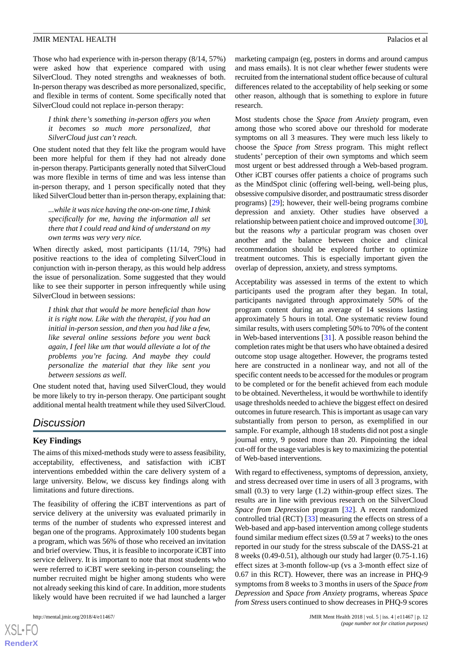Those who had experience with in-person therapy (8/14, 57%) were asked how that experience compared with using SilverCloud. They noted strengths and weaknesses of both. In-person therapy was described as more personalized, specific, and flexible in terms of content. Some specifically noted that SilverCloud could not replace in-person therapy:

*I think there's something in-person offers you when it becomes so much more personalized, that SilverCloud just can't reach.*

One student noted that they felt like the program would have been more helpful for them if they had not already done in-person therapy. Participants generally noted that SilverCloud was more flexible in terms of time and was less intense than in-person therapy, and 1 person specifically noted that they liked SilverCloud better than in-person therapy, explaining that:

*...while it was nice having the one-on-one time, I think specifically for me, having the information all set there that I could read and kind of understand on my own terms was very very nice.*

When directly asked, most participants (11/14, 79%) had positive reactions to the idea of completing SilverCloud in conjunction with in-person therapy, as this would help address the issue of personalization. Some suggested that they would like to see their supporter in person infrequently while using SilverCloud in between sessions:

*I think that that would be more beneficial than how it is right now. Like with the therapist, if you had an initial in-person session, and then you had like a few, like several online sessions before you went back again, I feel like um that would alleviate a lot of the problems you're facing. And maybe they could personalize the material that they like sent you between sessions as well.*

One student noted that, having used SilverCloud, they would be more likely to try in-person therapy. One participant sought additional mental health treatment while they used SilverCloud.

## *Discussion*

## **Key Findings**

The aims of this mixed-methods study were to assess feasibility, acceptability, effectiveness, and satisfaction with iCBT interventions embedded within the care delivery system of a large university. Below, we discuss key findings along with limitations and future directions.

The feasibility of offering the iCBT interventions as part of service delivery at the university was evaluated primarily in terms of the number of students who expressed interest and began one of the programs. Approximately 100 students began a program, which was 56% of those who received an invitation and brief overview. Thus, it is feasible to incorporate iCBT into service delivery. It is important to note that most students who were referred to iCBT were seeking in-person counseling; the number recruited might be higher among students who were not already seeking this kind of care. In addition, more students likely would have been recruited if we had launched a larger

marketing campaign (eg, posters in dorms and around campus and mass emails). It is not clear whether fewer students were recruited from the international student office because of cultural differences related to the acceptability of help seeking or some other reason, although that is something to explore in future research.

Most students chose the *Space from Anxiety* program, even among those who scored above our threshold for moderate symptoms on all 3 measures. They were much less likely to choose the *Space from Stress* program. This might reflect students' perception of their own symptoms and which seem most urgent or best addressed through a Web-based program. Other iCBT courses offer patients a choice of programs such as the MindSpot clinic (offering well-being, well-being plus, obsessive compulsive disorder, and posttraumatic stress disorder programs) [\[29](#page-14-11)]; however, their well-being programs combine depression and anxiety. Other studies have observed a relationship between patient choice and improved outcome [\[30](#page-14-12)], but the reasons *why* a particular program was chosen over another and the balance between choice and clinical recommendation should be explored further to optimize treatment outcomes. This is especially important given the overlap of depression, anxiety, and stress symptoms.

Acceptability was assessed in terms of the extent to which participants used the program after they began. In total, participants navigated through approximately 50% of the program content during an average of 14 sessions lasting approximately 5 hours in total. One systematic review found similar results, with users completing 50% to 70% of the content in Web-based interventions [[31\]](#page-14-13). A possible reason behind the completion rates might be that users who have obtained a desired outcome stop usage altogether. However, the programs tested here are constructed in a nonlinear way, and not all of the specific content needs to be accessed for the modules or program to be completed or for the benefit achieved from each module to be obtained. Nevertheless, it would be worthwhile to identify usage thresholds needed to achieve the biggest effect on desired outcomes in future research. This is important as usage can vary substantially from person to person, as exemplified in our sample. For example, although 18 students did not post a single journal entry, 9 posted more than 20. Pinpointing the ideal cut-off for the usage variables is key to maximizing the potential of Web-based interventions.

With regard to effectiveness, symptoms of depression, anxiety, and stress decreased over time in users of all 3 programs, with small (0.3) to very large (1.2) within-group effect sizes. The results are in line with previous research on the SilverCloud *Space from Depression* program [\[32](#page-14-14)]. A recent randomized controlled trial (RCT) [\[33](#page-14-15)] measuring the effects on stress of a Web-based and app-based intervention among college students found similar medium effect sizes (0.59 at 7 weeks) to the ones reported in our study for the stress subscale of the DASS-21 at 8 weeks (0.49-0.51), although our study had larger (0.75-1.16) effect sizes at 3-month follow-up (vs a 3-month effect size of 0.67 in this RCT). However, there was an increase in PHQ-9 symptoms from 8 weeks to 3 months in users of the *Space from Depression* and *Space from Anxiety* programs, whereas *Space from Stress* users continued to show decreases in PHQ-9 scores

```
XSI - F(RenderX
```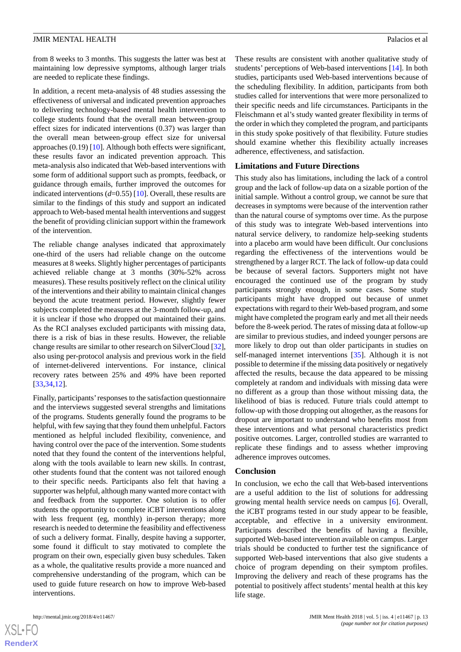from 8 weeks to 3 months. This suggests the latter was best at maintaining low depressive symptoms, although larger trials are needed to replicate these findings.

In addition, a recent meta-analysis of 48 studies assessing the effectiveness of universal and indicated prevention approaches to delivering technology-based mental health intervention to college students found that the overall mean between-group effect sizes for indicated interventions (0.37) was larger than the overall mean between-group effect size for universal approaches (0.19) [\[10](#page-13-9)]. Although both effects were significant, these results favor an indicated prevention approach. This meta-analysis also indicated that Web-based interventions with some form of additional support such as prompts, feedback, or guidance through emails, further improved the outcomes for indicated interventions (*d*=0.55) [[10\]](#page-13-9). Overall, these results are similar to the findings of this study and support an indicated approach to Web-based mental health interventions and suggest the benefit of providing clinician support within the framework of the intervention.

The reliable change analyses indicated that approximately one-third of the users had reliable change on the outcome measures at 8 weeks. Slightly higher percentages of participants achieved reliable change at 3 months (30%-52% across measures). These results positively reflect on the clinical utility of the interventions and their ability to maintain clinical changes beyond the acute treatment period. However, slightly fewer subjects completed the measures at the 3-month follow-up, and it is unclear if those who dropped out maintained their gains. As the RCI analyses excluded participants with missing data, there is a risk of bias in these results. However, the reliable change results are similar to other research on SilverCloud [\[32\]](#page-14-14), also using per-protocol analysis and previous work in the field of internet-delivered interventions. For instance, clinical recovery rates between 25% and 49% have been reported [[33](#page-14-15)[,34](#page-14-16),[12\]](#page-13-11).

Finally, participants'responses to the satisfaction questionnaire and the interviews suggested several strengths and limitations of the programs. Students generally found the programs to be helpful, with few saying that they found them unhelpful. Factors mentioned as helpful included flexibility, convenience, and having control over the pace of the intervention. Some students noted that they found the content of the interventions helpful, along with the tools available to learn new skills. In contrast, other students found that the content was not tailored enough to their specific needs. Participants also felt that having a supporter was helpful, although many wanted more contact with and feedback from the supporter. One solution is to offer students the opportunity to complete iCBT interventions along with less frequent (eg, monthly) in-person therapy; more research is needed to determine the feasibility and effectiveness of such a delivery format. Finally, despite having a supporter, some found it difficult to stay motivated to complete the program on their own, especially given busy schedules. Taken as a whole, the qualitative results provide a more nuanced and comprehensive understanding of the program, which can be used to guide future research on how to improve Web-based interventions.

 $XS$  $\cdot$ FC **[RenderX](http://www.renderx.com/)** These results are consistent with another qualitative study of students' perceptions of Web-based interventions [[14\]](#page-13-13). In both studies, participants used Web-based interventions because of the scheduling flexibility. In addition, participants from both studies called for interventions that were more personalized to their specific needs and life circumstances. Participants in the Fleischmann et al's study wanted greater flexibility in terms of the order in which they completed the program, and participants in this study spoke positively of that flexibility. Future studies should examine whether this flexibility actually increases adherence, effectiveness, and satisfaction.

#### **Limitations and Future Directions**

This study also has limitations, including the lack of a control group and the lack of follow-up data on a sizable portion of the initial sample. Without a control group, we cannot be sure that decreases in symptoms were because of the intervention rather than the natural course of symptoms over time. As the purpose of this study was to integrate Web-based interventions into natural service delivery, to randomize help-seeking students into a placebo arm would have been difficult. Our conclusions regarding the effectiveness of the interventions would be strengthened by a larger RCT. The lack of follow-up data could be because of several factors. Supporters might not have encouraged the continued use of the program by study participants strongly enough, in some cases. Some study participants might have dropped out because of unmet expectations with regard to their Web-based program, and some might have completed the program early and met all their needs before the 8-week period. The rates of missing data at follow-up are similar to previous studies, and indeed younger persons are more likely to drop out than older participants in studies on self-managed internet interventions [[35\]](#page-14-17). Although it is not possible to determine if the missing data positively or negatively affected the results, because the data appeared to be missing completely at random and individuals with missing data were no different as a group than those without missing data, the likelihood of bias is reduced. Future trials could attempt to follow-up with those dropping out altogether, as the reasons for dropout are important to understand who benefits most from these interventions and what personal characteristics predict positive outcomes. Larger, controlled studies are warranted to replicate these findings and to assess whether improving adherence improves outcomes.

#### **Conclusion**

In conclusion, we echo the call that Web-based interventions are a useful addition to the list of solutions for addressing growing mental health service needs on campus [\[6](#page-13-5)]. Overall, the iCBT programs tested in our study appear to be feasible, acceptable, and effective in a university environment. Participants described the benefits of having a flexible, supported Web-based intervention available on campus. Larger trials should be conducted to further test the significance of supported Web-based interventions that also give students a choice of program depending on their symptom profiles. Improving the delivery and reach of these programs has the potential to positively affect students' mental health at this key life stage.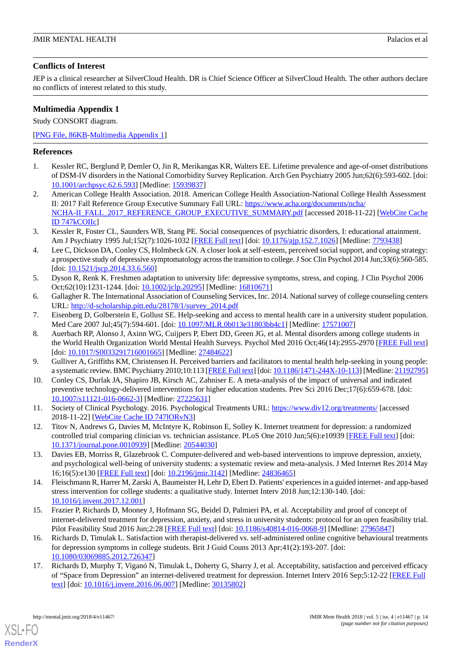## **Conflicts of Interest**

JEP is a clinical researcher at SilverCloud Health. DR is Chief Science Officer at SilverCloud Health. The other authors declare no conflicts of interest related to this study.

## <span id="page-13-17"></span>**Multimedia Appendix 1**

Study CONSORT diagram.

## [[PNG File, 86KB-Multimedia Appendix 1](https://jmir.org/api/download?alt_name=mental_v5i4e11467_app1.png&filename=4714aff2dd3239281b5bb75d4f4865ee.png)]

## <span id="page-13-0"></span>**References**

- <span id="page-13-1"></span>1. Kessler RC, Berglund P, Demler O, Jin R, Merikangas KR, Walters EE. Lifetime prevalence and age-of-onset distributions of DSM-IV disorders in the National Comorbidity Survey Replication. Arch Gen Psychiatry 2005 Jun;62(6):593-602. [doi: [10.1001/archpsyc.62.6.593\]](http://dx.doi.org/10.1001/archpsyc.62.6.593) [Medline: [15939837\]](http://www.ncbi.nlm.nih.gov/entrez/query.fcgi?cmd=Retrieve&db=PubMed&list_uids=15939837&dopt=Abstract)
- <span id="page-13-2"></span>2. American College Health Association. 2018. American College Health Association-National College Health Assessment II: 2017 Fall Reference Group Executive Summary Fall URL: [https://www.acha.org/documents/ncha/](https://www.acha.org/documents/ncha/NCHA-II_FALL_2017_REFERENCE_GROUP_EXECUTIVE_SUMMARY.pdf) [NCHA-II\\_FALL\\_2017\\_REFERENCE\\_GROUP\\_EXECUTIVE\\_SUMMARY.pdf](https://www.acha.org/documents/ncha/NCHA-II_FALL_2017_REFERENCE_GROUP_EXECUTIVE_SUMMARY.pdf) [accessed 2018-11-22] [\[WebCite Cache](http://www.webcitation.org/

                                747kCOIIc) [ID 747kCOIIc\]](http://www.webcitation.org/

                                747kCOIIc)
- <span id="page-13-3"></span>3. Kessler R, Foster CL, Saunders WB, Stang PE. Social consequences of psychiatric disorders, I: educational attainment. Am J Psychiatry 1995 Jul;152(7):1026-1032 [[FREE Full text](http://citeseerx.ist.psu.edu/viewdoc/download?doi=10.1.1.477.1539&rep=rep1&type=pdf)] [doi: [10.1176/ajp.152.7.1026](http://dx.doi.org/10.1176/ajp.152.7.1026)] [Medline: [7793438](http://www.ncbi.nlm.nih.gov/entrez/query.fcgi?cmd=Retrieve&db=PubMed&list_uids=7793438&dopt=Abstract)]
- <span id="page-13-4"></span>4. Lee C, Dickson DA, Conley CS, Holmbeck GN. A closer look at self-esteem, perceived social support, and coping strategy: a prospective study of depressive symptomatology across the transition to college. J Soc Clin Psychol 2014 Jun;33(6):560-585. [doi: [10.1521/jscp.2014.33.6.560](http://dx.doi.org/10.1521/jscp.2014.33.6.560)]
- <span id="page-13-6"></span><span id="page-13-5"></span>5. Dyson R, Renk K. Freshmen adaptation to university life: depressive symptoms, stress, and coping. J Clin Psychol 2006 Oct;62(10):1231-1244. [doi: [10.1002/jclp.20295\]](http://dx.doi.org/10.1002/jclp.20295) [Medline: [16810671](http://www.ncbi.nlm.nih.gov/entrez/query.fcgi?cmd=Retrieve&db=PubMed&list_uids=16810671&dopt=Abstract)]
- <span id="page-13-7"></span>6. Gallagher R. The International Association of Counseling Services, Inc. 2014. National survey of college counseling centers URL: [http://d-scholarship.pitt.edu/28178/1/survey\\_2014.pdf](http://d-scholarship.pitt.edu/28178/1/survey_2014.pdf)
- 7. Eisenberg D, Golberstein E, Gollust SE. Help-seeking and access to mental health care in a university student population. Med Care 2007 Jul;45(7):594-601. [doi: [10.1097/MLR.0b013e31803bb4c1](http://dx.doi.org/10.1097/MLR.0b013e31803bb4c1)] [Medline: [17571007\]](http://www.ncbi.nlm.nih.gov/entrez/query.fcgi?cmd=Retrieve&db=PubMed&list_uids=17571007&dopt=Abstract)
- <span id="page-13-9"></span><span id="page-13-8"></span>8. Auerbach RP, Alonso J, Axinn WG, Cuijpers P, Ebert DD, Green JG, et al. Mental disorders among college students in the World Health Organization World Mental Health Surveys. Psychol Med 2016 Oct;46(14):2955-2970 [\[FREE Full text](http://europepmc.org/abstract/MED/27484622)] [doi: [10.1017/S0033291716001665\]](http://dx.doi.org/10.1017/S0033291716001665) [Medline: [27484622](http://www.ncbi.nlm.nih.gov/entrez/query.fcgi?cmd=Retrieve&db=PubMed&list_uids=27484622&dopt=Abstract)]
- <span id="page-13-10"></span>9. Gulliver A, Griffiths KM, Christensen H. Perceived barriers and facilitators to mental health help-seeking in young people: a systematic review. BMC Psychiatry 2010;10:113 [[FREE Full text](http://www.biomedcentral.com/1471-244X/10/113)] [doi: [10.1186/1471-244X-10-113](http://dx.doi.org/10.1186/1471-244X-10-113)] [Medline: [21192795\]](http://www.ncbi.nlm.nih.gov/entrez/query.fcgi?cmd=Retrieve&db=PubMed&list_uids=21192795&dopt=Abstract)
- <span id="page-13-11"></span>10. Conley CS, Durlak JA, Shapiro JB, Kirsch AC, Zahniser E. A meta-analysis of the impact of universal and indicated preventive technology-delivered interventions for higher education students. Prev Sci 2016 Dec;17(6):659-678. [doi: [10.1007/s11121-016-0662-3\]](http://dx.doi.org/10.1007/s11121-016-0662-3) [Medline: [27225631](http://www.ncbi.nlm.nih.gov/entrez/query.fcgi?cmd=Retrieve&db=PubMed&list_uids=27225631&dopt=Abstract)]
- <span id="page-13-12"></span>11. Society of Clinical Psychology. 2016. Psychological Treatments URL:<https://www.div12.org/treatments/> [accessed 2018-11-22] [\[WebCite Cache ID 747lORvN3](http://www.webcitation.org/

                                747lORvN3)]
- <span id="page-13-13"></span>12. Titov N, Andrews G, Davies M, McIntyre K, Robinson E, Solley K. Internet treatment for depression: a randomized controlled trial comparing clinician vs. technician assistance. PLoS One 2010 Jun;5(6):e10939 [[FREE Full text](http://dx.plos.org/10.1371/journal.pone.0010939)] [doi: [10.1371/journal.pone.0010939\]](http://dx.doi.org/10.1371/journal.pone.0010939) [Medline: [20544030](http://www.ncbi.nlm.nih.gov/entrez/query.fcgi?cmd=Retrieve&db=PubMed&list_uids=20544030&dopt=Abstract)]
- <span id="page-13-14"></span>13. Davies EB, Morriss R, Glazebrook C. Computer-delivered and web-based interventions to improve depression, anxiety, and psychological well-being of university students: a systematic review and meta-analysis. J Med Internet Res 2014 May 16;16(5):e130 [\[FREE Full text](http://www.jmir.org/2014/5/e130/)] [doi: [10.2196/jmir.3142](http://dx.doi.org/10.2196/jmir.3142)] [Medline: [24836465](http://www.ncbi.nlm.nih.gov/entrez/query.fcgi?cmd=Retrieve&db=PubMed&list_uids=24836465&dopt=Abstract)]
- <span id="page-13-15"></span>14. Fleischmann R, Harrer M, Zarski A, Baumeister H, Lehr D, Ebert D. Patients' experiences in a guided internet- and app-based stress intervention for college students: a qualitative study. Internet Interv 2018 Jun;12:130-140. [doi: [10.1016/j.invent.2017.12.001](http://dx.doi.org/10.1016/j.invent.2017.12.001)]
- <span id="page-13-16"></span>15. Frazier P, Richards D, Mooney J, Hofmann SG, Beidel D, Palmieri PA, et al. Acceptability and proof of concept of internet-delivered treatment for depression, anxiety, and stress in university students: protocol for an open feasibility trial. Pilot Feasibility Stud 2016 Jun;2:28 [\[FREE Full text\]](https://pilotfeasibilitystudies.biomedcentral.com/articles/10.1186/s40814-016-0068-9) [doi: [10.1186/s40814-016-0068-9](http://dx.doi.org/10.1186/s40814-016-0068-9)] [Medline: [27965847\]](http://www.ncbi.nlm.nih.gov/entrez/query.fcgi?cmd=Retrieve&db=PubMed&list_uids=27965847&dopt=Abstract)
- 16. Richards D, Timulak L. Satisfaction with therapist-delivered vs. self-administered online cognitive behavioural treatments for depression symptoms in college students. Brit J Guid Couns 2013 Apr;41(2):193-207. [doi: [10.1080/03069885.2012.726347\]](http://dx.doi.org/10.1080/03069885.2012.726347)
- 17. Richards D, Murphy T, Viganó N, Timulak L, Doherty G, Sharry J, et al. Acceptability, satisfaction and perceived efficacy of "Space from Depression" an internet-delivered treatment for depression. Internet Interv 2016 Sep;5:12-22 [[FREE Full](https://linkinghub.elsevier.com/retrieve/pii/S2214-7829(16)30034-3) [text](https://linkinghub.elsevier.com/retrieve/pii/S2214-7829(16)30034-3)] [doi: [10.1016/j.invent.2016.06.007](http://dx.doi.org/10.1016/j.invent.2016.06.007)] [Medline: [30135802\]](http://www.ncbi.nlm.nih.gov/entrez/query.fcgi?cmd=Retrieve&db=PubMed&list_uids=30135802&dopt=Abstract)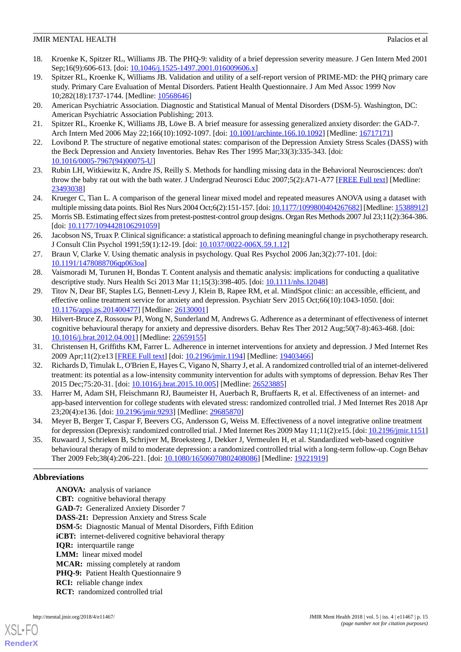- <span id="page-14-0"></span>18. Kroenke K, Spitzer RL, Williams JB. The PHQ-9: validity of a brief depression severity measure. J Gen Intern Med 2001 Sep;16(9):606-613. [doi: [10.1046/j.1525-1497.2001.016009606.x\]](http://dx.doi.org/10.1046/j.1525-1497.2001.016009606.x)
- <span id="page-14-1"></span>19. Spitzer RL, Kroenke K, Williams JB. Validation and utility of a self-report version of PRIME-MD: the PHQ primary care study. Primary Care Evaluation of Mental Disorders. Patient Health Questionnaire. J Am Med Assoc 1999 Nov 10;282(18):1737-1744. [Medline: [10568646](http://www.ncbi.nlm.nih.gov/entrez/query.fcgi?cmd=Retrieve&db=PubMed&list_uids=10568646&dopt=Abstract)]
- <span id="page-14-3"></span><span id="page-14-2"></span>20. American Psychiatric Association. Diagnostic and Statistical Manual of Mental Disorders (DSM-5). Washington, DC: American Psychiatric Association Publishing; 2013.
- <span id="page-14-4"></span>21. Spitzer RL, Kroenke K, Williams JB, Löwe B. A brief measure for assessing generalized anxiety disorder: the GAD-7. Arch Intern Med 2006 May 22;166(10):1092-1097. [doi: [10.1001/archinte.166.10.1092](http://dx.doi.org/10.1001/archinte.166.10.1092)] [Medline: [16717171](http://www.ncbi.nlm.nih.gov/entrez/query.fcgi?cmd=Retrieve&db=PubMed&list_uids=16717171&dopt=Abstract)]
- <span id="page-14-5"></span>22. Lovibond P. The structure of negative emotional states: comparison of the Depression Anxiety Stress Scales (DASS) with the Beck Depression and Anxiety Inventories. Behav Res Ther 1995 Mar;33(3):335-343. [doi: [10.1016/0005-7967\(94\)00075-U](http://dx.doi.org/10.1016/0005-7967(94)00075-U)]
- <span id="page-14-6"></span>23. Rubin LH, Witkiewitz K, Andre JS, Reilly S. Methods for handling missing data in the Behavioral Neurosciences: don't throw the baby rat out with the bath water. J Undergrad Neurosci Educ 2007;5(2):A71-A77 [\[FREE Full text\]](http://europepmc.org/abstract/MED/23493038) [Medline: [23493038](http://www.ncbi.nlm.nih.gov/entrez/query.fcgi?cmd=Retrieve&db=PubMed&list_uids=23493038&dopt=Abstract)]
- <span id="page-14-7"></span>24. Krueger C, Tian L. A comparison of the general linear mixed model and repeated measures ANOVA using a dataset with multiple missing data points. Biol Res Nurs 2004 Oct;6(2):151-157. [doi: [10.1177/1099800404267682](http://dx.doi.org/10.1177/1099800404267682)] [Medline: [15388912\]](http://www.ncbi.nlm.nih.gov/entrez/query.fcgi?cmd=Retrieve&db=PubMed&list_uids=15388912&dopt=Abstract)
- <span id="page-14-8"></span>25. Morris SB. Estimating effect sizes from pretest-posttest-control group designs. Organ Res Methods 2007 Jul 23;11(2):364-386. [doi: [10.1177/1094428106291059](http://dx.doi.org/10.1177/1094428106291059)]
- <span id="page-14-9"></span>26. Jacobson NS, Truax P. Clinical significance: a statistical approach to defining meaningful change in psychotherapy research. J Consult Clin Psychol 1991;59(1):12-19. [doi: [10.1037/0022-006X.59.1.12\]](http://dx.doi.org/10.1037/0022-006X.59.1.12)
- <span id="page-14-11"></span><span id="page-14-10"></span>27. Braun V, Clarke V. Using thematic analysis in psychology. Qual Res Psychol 2006 Jan;3(2):77-101. [doi: [10.1191/1478088706qp063oa](http://dx.doi.org/10.1191/1478088706qp063oa)]
- 28. Vaismoradi M, Turunen H, Bondas T. Content analysis and thematic analysis: implications for conducting a qualitative descriptive study. Nurs Health Sci 2013 Mar 11;15(3):398-405. [doi: [10.1111/nhs.12048](http://dx.doi.org/10.1111/nhs.12048)]
- <span id="page-14-12"></span>29. Titov N, Dear BF, Staples LG, Bennett-Levy J, Klein B, Rapee RM, et al. MindSpot clinic: an accessible, efficient, and effective online treatment service for anxiety and depression. Psychiatr Serv 2015 Oct;66(10):1043-1050. [doi: [10.1176/appi.ps.201400477\]](http://dx.doi.org/10.1176/appi.ps.201400477) [Medline: [26130001\]](http://www.ncbi.nlm.nih.gov/entrez/query.fcgi?cmd=Retrieve&db=PubMed&list_uids=26130001&dopt=Abstract)
- <span id="page-14-14"></span><span id="page-14-13"></span>30. Hilvert-Bruce Z, Rossouw PJ, Wong N, Sunderland M, Andrews G. Adherence as a determinant of effectiveness of internet cognitive behavioural therapy for anxiety and depressive disorders. Behav Res Ther 2012 Aug;50(7-8):463-468. [doi: [10.1016/j.brat.2012.04.001](http://dx.doi.org/10.1016/j.brat.2012.04.001)] [Medline: [22659155\]](http://www.ncbi.nlm.nih.gov/entrez/query.fcgi?cmd=Retrieve&db=PubMed&list_uids=22659155&dopt=Abstract)
- <span id="page-14-15"></span>31. Christensen H, Griffiths KM, Farrer L. Adherence in internet interventions for anxiety and depression. J Med Internet Res 2009 Apr;11(2):e13 [\[FREE Full text](http://www.jmir.org/2009/2/e13/)] [doi: [10.2196/jmir.1194\]](http://dx.doi.org/10.2196/jmir.1194) [Medline: [19403466](http://www.ncbi.nlm.nih.gov/entrez/query.fcgi?cmd=Retrieve&db=PubMed&list_uids=19403466&dopt=Abstract)]
- <span id="page-14-16"></span>32. Richards D, Timulak L, O'Brien E, Hayes C, Vigano N, Sharry J, et al. A randomized controlled trial of an internet-delivered treatment: its potential as a low-intensity community intervention for adults with symptoms of depression. Behav Res Ther 2015 Dec; 75: 20-31. [doi: 10.1016/j.brat. 2015. 10.005] [Medline: [26523885\]](http://www.ncbi.nlm.nih.gov/entrez/query.fcgi?cmd=Retrieve&db=PubMed&list_uids=26523885&dopt=Abstract)
- <span id="page-14-17"></span>33. Harrer M, Adam SH, Fleischmann RJ, Baumeister H, Auerbach R, Bruffaerts R, et al. Effectiveness of an internet- and app-based intervention for college students with elevated stress: randomized controlled trial. J Med Internet Res 2018 Apr 23;20(4):e136. [doi: [10.2196/jmir.9293\]](http://dx.doi.org/10.2196/jmir.9293) [Medline: [29685870](http://www.ncbi.nlm.nih.gov/entrez/query.fcgi?cmd=Retrieve&db=PubMed&list_uids=29685870&dopt=Abstract)]
- 34. Meyer B, Berger T, Caspar F, Beevers CG, Andersson G, Weiss M. Effectiveness of a novel integrative online treatment for depression (Deprexis): randomized controlled trial. J Med Internet Res 2009 May 11;11(2):e15. [doi: [10.2196/jmir.1151](http://dx.doi.org/10.2196/jmir.1151)]
- 35. Ruwaard J, Schrieken B, Schrijver M, Broeksteeg J, Dekker J, Vermeulen H, et al. Standardized web-based cognitive behavioural therapy of mild to moderate depression: a randomized controlled trial with a long-term follow-up. Cogn Behav Ther 2009 Feb;38(4):206-221. [doi: [10.1080/16506070802408086\]](http://dx.doi.org/10.1080/16506070802408086) [Medline: [19221919](http://www.ncbi.nlm.nih.gov/entrez/query.fcgi?cmd=Retrieve&db=PubMed&list_uids=19221919&dopt=Abstract)]

## **Abbreviations**

**ANOVA:** analysis of variance **CBT:** cognitive behavioral therapy **GAD-7:** Generalized Anxiety Disorder 7 **DASS-21:** Depression Anxiety and Stress Scale **DSM-5:** Diagnostic Manual of Mental Disorders, Fifth Edition **iCBT:** internet-delivered cognitive behavioral therapy **IQR:** interquartile range **LMM:** linear mixed model **MCAR:** missing completely at random **PHQ-9:** Patient Health Questionnaire 9 **RCI:** reliable change index **RCT:** randomized controlled trial